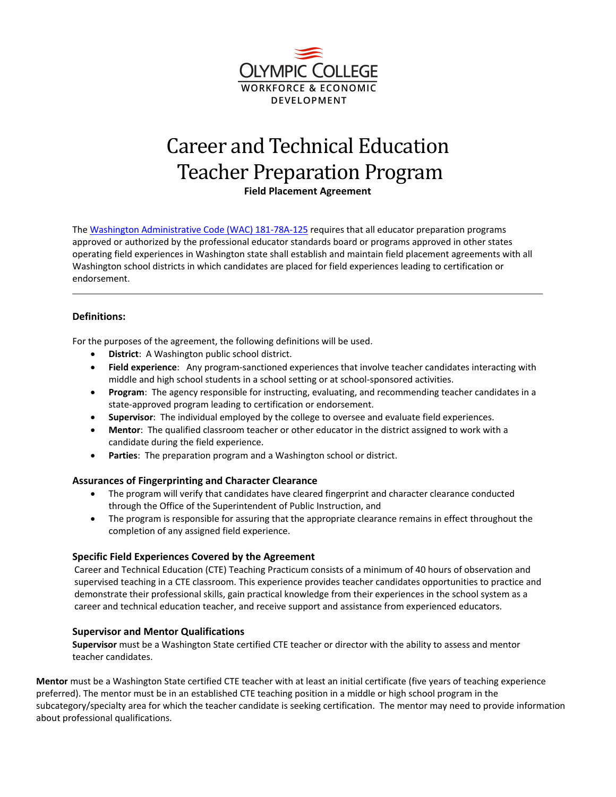

# Career and Technical Education Teacher Preparation Program

**Field Placement Agreement**

Th[e Washington Administrative Code \(WAC\)](http://apps.leg.wa.gov/wac/default.aspx?cite=181-78A-125) 181-78A-125 requires that all educator preparation programs approved or authorized by the professional educator standards board or programs approved in other states operating field experiences in Washington state shall establish and maintain field placement agreements with all Washington school districts in which candidates are placed for field experiences leading to certification or endorsement.

## **Definitions:**

For the purposes of the agreement, the following definitions will be used.

- **District**: A Washington public school district.
- **Field experience**: Any program-sanctioned experiences that involve teacher candidates interacting with middle and high school students in a school setting or at school-sponsored activities.
- **Program**: The agency responsible for instructing, evaluating, and recommending teacher candidates in a state-approved program leading to certification or endorsement.
- **Supervisor**: The individual employed by the college to oversee and evaluate field experiences.
- **Mentor**: The qualified classroom teacher or other educator in the district assigned to work with a candidate during the field experience.
- **Parties**: The preparation program and a Washington school or district.

#### **Assurances of Fingerprinting and Character Clearance**

- The program will verify that candidates have cleared fingerprint and character clearance conducted through the Office of the Superintendent of Public Instruction, and
- The program is responsible for assuring that the appropriate clearance remains in effect throughout the completion of any assigned field experience.

#### **Specific Field Experiences Covered by the Agreement**

Career and Technical Education (CTE) Teaching Practicum consists of a minimum of 40 hours of observation and supervised teaching in a CTE classroom. This experience provides teacher candidates opportunities to practice and demonstrate their professional skills, gain practical knowledge from their experiences in the school system as a career and technical education teacher, and receive support and assistance from experienced educators.

#### **Supervisor and Mentor Qualifications**

**Supervisor** must be a Washington State certified CTE teacher or director with the ability to assess and mentor teacher candidates.

**Mentor** must be a Washington State certified CTE teacher with at least an initial certificate (five years of teaching experience preferred). The mentor must be in an established CTE teaching position in a middle or high school program in the subcategory/specialty area for which the teacher candidate is seeking certification. The mentor may need to provide information about professional qualifications.